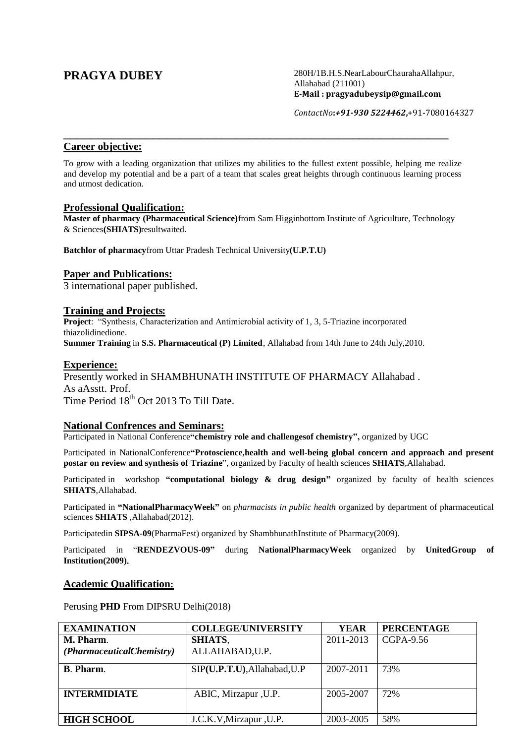**PRAGYA DUBEY** 280H/1B.H.S.NearLabourChaurahaAllahpur, Allahabad (211001) **E-Mail : pragyadubeysip@gmail.com**

*ContactNo***:***+91-930 5224462***,**+91-7080164327

## **Career objective:**

To grow with a leading organization that utilizes my abilities to the fullest extent possible, helping me realize and develop my potential and be a part of a team that scales great heights through continuous learning process and utmost dedication.

\_\_\_\_\_\_\_\_\_\_\_\_\_\_\_\_\_\_\_\_\_\_\_\_\_\_\_\_\_\_\_\_\_\_\_\_\_\_\_\_\_\_\_\_\_\_\_\_\_\_\_\_\_\_\_\_

### **Professional Qualification:**

**Master of pharmacy (Pharmaceutical Science)**from Sam Higginbottom Institute of Agriculture, Technology & Sciences**(SHIATS)**resultwaited.

**Batchlor of pharmacy**from Uttar Pradesh Technical University**(U.P.T.U)**

# **Paper and Publications:**

3 international paper published.

## **Training and Projects:**

**Project**: "Synthesis, Characterization and Antimicrobial activity of 1, 3, 5-Triazine incorporated thiazolidinedione. **Summer Training** in **S.S. Pharmaceutical (P) Limited**, Allahabad from 14th June to 24th July,2010.

## **Experience:**

Presently worked in SHAMBHUNATH INSTITUTE OF PHARMACY Allahabad . As aAsstt. Prof. Time Period  $18<sup>th</sup>$  Oct 2013 To Till Date.

### **National Confrences and Seminars:**

Participated in National Conference**"chemistry role and challengesof chemistry",** organized by UGC

Participated in NationalConference**"Protoscience,health and well-being global concern and approach and present postar on review and synthesis of Triazine**", organized by Faculty of health sciences **SHIATS**,Allahabad.

Participated in workshop **"computational biology & drug design"** organized by faculty of health sciences **SHIATS**,Allahabad.

Participated in **"NationalPharmacyWeek"** on *pharmacists in public health* organized by department of pharmaceutical sciences **SHIATS** ,Allahabad(2012).

Participatedin **SIPSA-09**(PharmaFest) organized by ShambhunathInstitute of Pharmacy(2009).

Participated in "**RENDEZVOUS-09"** during **NationalPharmacyWeek** organized by **UnitedGroup of Institution(2009)**.

### **Academic Qualification:**

Perusing **PHD** From DIPSRU Delhi(2018)

| <b>EXAMINATION</b>        | <b>COLLEGE/UNIVERSITY</b>    | <b>YEAR</b> | <b>PERCENTAGE</b> |
|---------------------------|------------------------------|-------------|-------------------|
| M. Pharm.                 | <b>SHIATS,</b>               | 2011-2013   | CGPA-9.56         |
| (PharmaceuticalChemistry) | ALLAHABAD, U.P.              |             |                   |
|                           |                              |             |                   |
| <b>B.</b> Pharm.          | SIP(U.P.T.U), Allahabad, U.P | 2007-2011   | 73%               |
|                           |                              |             |                   |
| <b>INTERMIDIATE</b>       | ABIC, Mirzapur, U.P.         | 2005-2007   | 72%               |
|                           |                              |             |                   |
|                           |                              |             |                   |
| <b>HIGH SCHOOL</b>        | J.C.K.V, Mirzapur, U.P.      | 2003-2005   | 58%               |